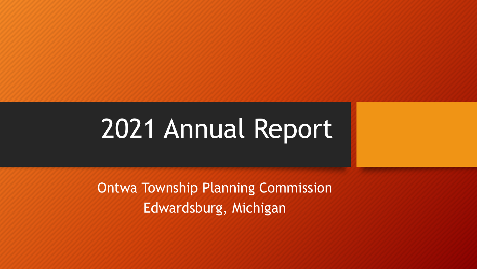# 2021 Annual Report

Ontwa Township Planning Commission Edwardsburg, Michigan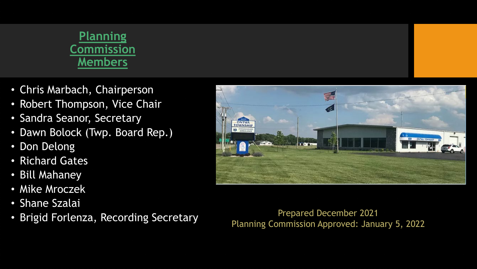#### **Planning Commission Members**

- Chris Marbach, Chairperson
- Robert Thompson, Vice Chair
- Sandra Seanor, Secretary
- Dawn Bolock (Twp. Board Rep.)
- Don Delong
- Richard Gates
- Bill Mahaney
- Mike Mroczek
- Shane Szalai
- Brigid Forlenza, Recording Secretary Prepared December 2021

手 **DONTWA SE EDWARDSSU** 

Planning Commission Approved: January 5, 2022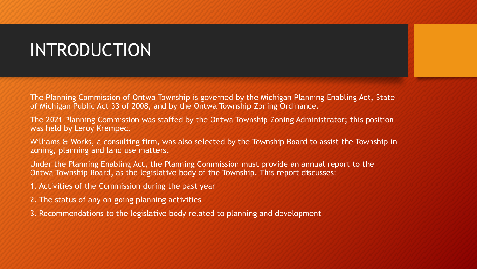## INTRODUCTION

The Planning Commission of Ontwa Township is governed by the Michigan Planning Enabling Act, State of Michigan Public Act 33 of 2008, and by the Ontwa Township Zoning Ordinance.

The 2021 Planning Commission was staffed by the Ontwa Township Zoning Administrator; this position was held by Leroy Krempec.

Williams & Works, a consulting firm, was also selected by the Township Board to assist the Township in zoning, planning and land use matters.

Under the Planning Enabling Act, the Planning Commission must provide an annual report to the Ontwa Township Board, as the legislative body of the Township. This report discusses:

- 1. Activities of the Commission during the past year
- 2. The status of any on-going planning activities
- 3. Recommendations to the legislative body related to planning and development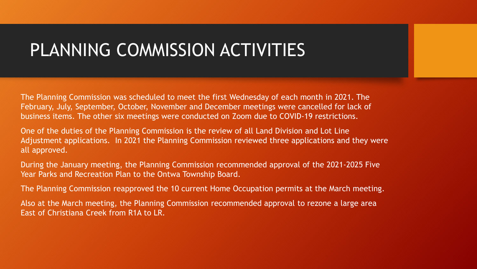#### PLANNING COMMISSION ACTIVITIES

The Planning Commission was scheduled to meet the first Wednesday of each month in 2021. The February, July, September, October, November and December meetings were cancelled for lack of business items. The other six meetings were conducted on Zoom due to COVID-19 restrictions.

One of the duties of the Planning Commission is the review of all Land Division and Lot Line Adjustment applications. In 2021 the Planning Commission reviewed three applications and they were all approved.

During the January meeting, the Planning Commission recommended approval of the 2021-2025 Five Year Parks and Recreation Plan to the Ontwa Township Board.

The Planning Commission reapproved the 10 current Home Occupation permits at the March meeting.

Also at the March meeting, the Planning Commission recommended approval to rezone a large area East of Christiana Creek from R1A to LR.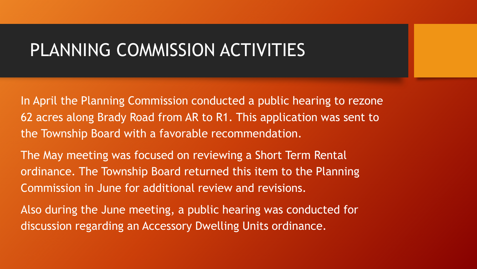#### PLANNING COMMISSION ACTIVITIES

In April the Planning Commission conducted a public hearing to rezone 62 acres along Brady Road from AR to R1. This application was sent to the Township Board with a favorable recommendation.

The May meeting was focused on reviewing a Short Term Rental ordinance. The Township Board returned this item to the Planning Commission in June for additional review and revisions.

Also during the June meeting, a public hearing was conducted for discussion regarding an Accessory Dwelling Units ordinance.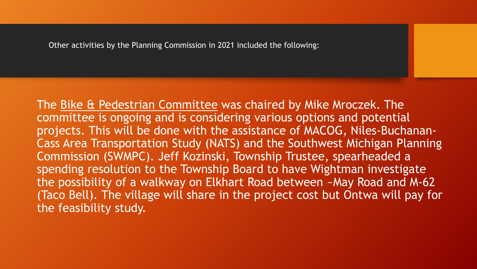The Bike & Pedestrian Committee was chaired by Mike Mroczek. The committee is ongoing and is considering various options and potential projects. This will be done with the assistance of MACOG, Niles-Buchanan-Cass Area Transportation Study (NATS) and the Southwest Michigan Planning Commission (SWMPC). Jeff Kozinski, Township Trustee, spearheaded a spending resolution to the Township Board to have Wightman investigate the possibility of a walkway on Elkhart Road between ~May Road and M-62 (Taco Bell). The village will share in the project cost but Ontwa will pay for the feasibility study.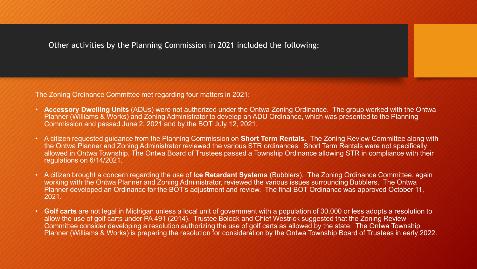The Zoning Ordinance Committee met regarding four matters in 2021:

- **Accessory Dwelling Units** (ADUs) were not authorized under the Ontwa Zoning Ordinance. The group worked with the Ontwa Planner (Williams & Works) and Zoning Administrator to develop an ADU Ordinance, which was presented to the Planning Commission and passed June 2, 2021 and by the BOT July 12, 2021.
- A citizen requested guidance from the Planning Commission on **Short Term Rentals.** The Zoning Review Committee along with the Ontwa Planner and Zoning Administrator reviewed the various STR ordinances. Short Term Rentals were not specifically allowed in Ontwa Township. The Ontwa Board of Trustees passed a Township Ordinance allowing STR in compliance with their regulations on 6/14/2021.
- A citizen brought a concern regarding the use of **Ice Retardant Systems** (Bubblers). The Zoning Ordinance Committee, again working with the Ontwa Planner and Zoning Administrator, reviewed the various issues surrounding Bubblers. The Ontwa Planner developed an Ordinance for the BOT's adjustment and review. The final BOT Ordinance was approved October 11, 2021.
- **Golf carts** are not legal in Michigan unless a local unit of government with a population of 30,000 or less adopts a resolution to allow the use of golf carts under PA 491 (2014). Trustee Bolock and Chief Westrick suggested that the Zoning Review Committee consider developing a resolution authorizing the use of golf carts as allowed by the state. The Ontwa Township Planner (Williams & Works) is preparing the resolution for consideration by the Ontwa Township Board of Trustees in early 2022.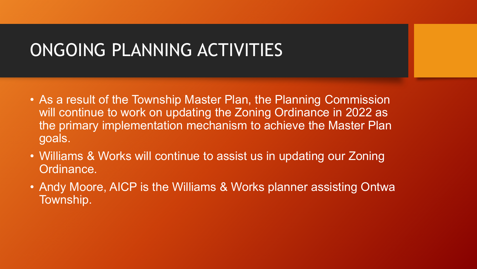## ONGOING PLANNING ACTIVITIES

- As a result of the Township Master Plan, the Planning Commission will continue to work on updating the Zoning Ordinance in 2022 as the primary implementation mechanism to achieve the Master Plan goals.
- Williams & Works will continue to assist us in updating our Zoning Ordinance.
- Andy Moore, AICP is the Williams & Works planner assisting Ontwa Township.